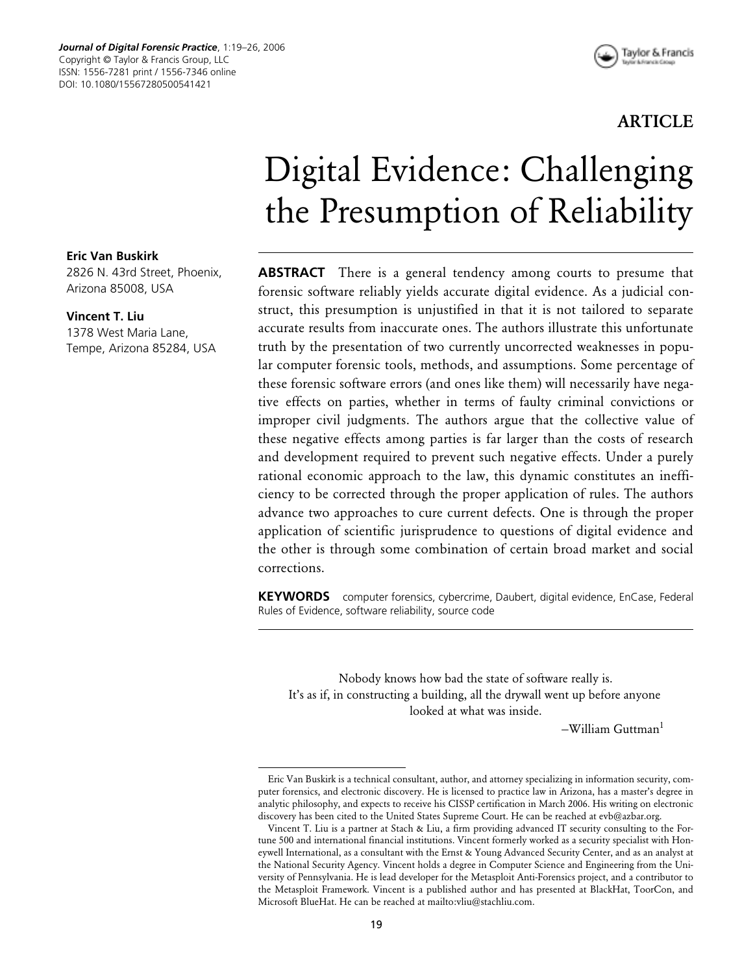

# UDFP 1556-7281 1556-7346Journal of Digital Forensic Practice, Vol. 01, No. 01, January 2006: pp. 0–0 Practice **ARTICLE**

# Digital Evidence: Challenging the Presumption of Reliability

#### **Eric Van Buskirk**

2826 N. 43rd Street, Phoenix, Arizona 85008, USA

#### **Vincent T. Liu**

1378 West Maria Lane, Tempe, Arizona 85284, USA **ABSTRACT** There is a general tendency among courts to presume that forensic software reliably yields accurate digital evidence. As a judicial construct, this presumption is unjustified in that it is not tailored to separate accurate results from inaccurate ones. The authors illustrate this unfortunate truth by the presentation of two currently uncorrected weaknesses in popular computer forensic tools, methods, and assumptions. Some percentage of these forensic software errors (and ones like them) will necessarily have negative effects on parties, whether in terms of faulty criminal convictions or improper civil judgments. The authors argue that the collective value of these negative effects among parties is far larger than the costs of research and development required to prevent such negative effects. Under a purely rational economic approach to the law, this dynamic constitutes an inefficiency to be corrected through the proper application of rules. The authors advance two approaches to cure current defects. One is through the proper application of scientific jurisprudence to questions of digital evidence and the other is through some combination of certain broad market and social corrections.

**KEYWORDS** computer forensics, cybercrime, Daubert, digital evidence, EnCase, Federal Rules of Evidence, software reliability, source code

Nobody knows how bad the state of software really is. It's as if, in constructing a building, all the drywall went up before anyone looked at what was inside.

 $-William Guttman<sup>1</sup>$ 

Eric Van Buskirk is a technical consultant, author, and attorney specializing in information security, computer forensics, and electronic discovery. He is licensed to practice law in Arizona, has a master's degree in analytic philosophy, and expects to receive his CISSP certification in March 2006. His writing on electronic discovery has been cited to the United States Supreme Court. He can be reached at evb@azbar.org.

Vincent T. Liu is a partner at Stach & Liu, a firm providing advanced IT security consulting to the Fortune 500 and international financial institutions. Vincent formerly worked as a security specialist with Honeywell International, as a consultant with the Ernst & Young Advanced Security Center, and as an analyst at the National Security Agency. Vincent holds a degree in Computer Science and Engineering from the University of Pennsylvania. He is lead developer for the Metasploit Anti-Forensics project, and a contributor to the Metasploit Framework. Vincent is a published author and has presented at BlackHat, ToorCon, and Microsoft BlueHat. He can be reached at mailto:vliu@stachliu.com.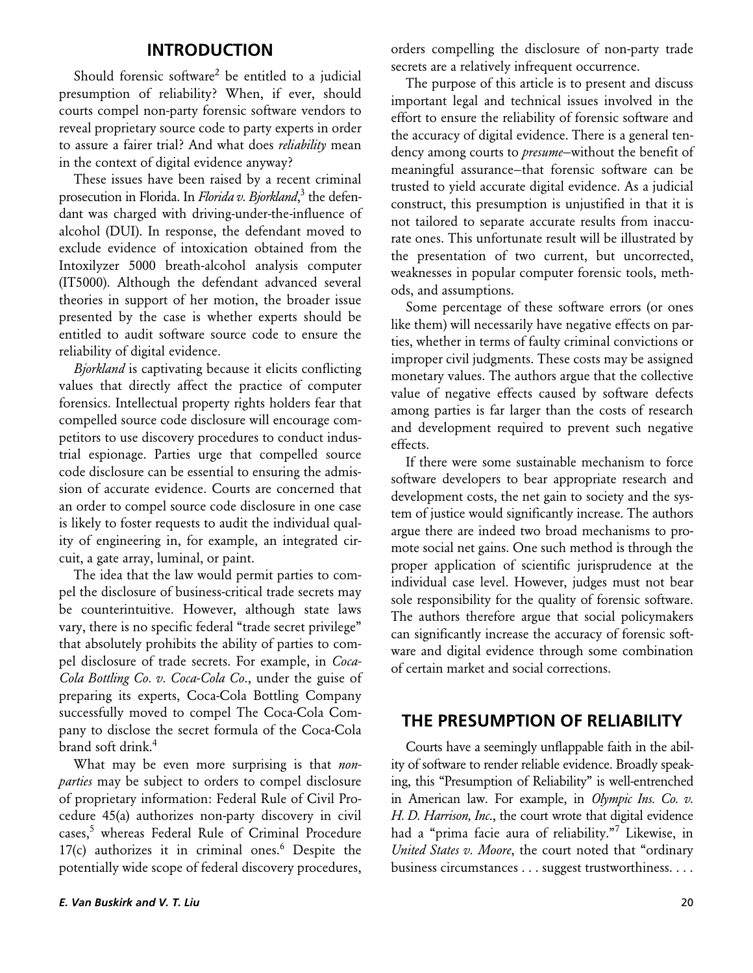### **INTRODUCTION**

Should forensic software<sup>2</sup> be entitled to a judicial presumption of reliability? When, if ever, should courts compel non-party forensic software vendors to reveal proprietary source code to party experts in order to assure a fairer trial? And what does *reliability* mean in the context of digital evidence anyway?

These issues have been raised by a recent criminal prosecution in Florida. In *Florida v. Bjorkland*, 3 the defendant was charged with driving-under-the-influence of alcohol (DUI). In response, the defendant moved to exclude evidence of intoxication obtained from the Intoxilyzer 5000 breath-alcohol analysis computer (IT5000). Although the defendant advanced several theories in support of her motion, the broader issue presented by the case is whether experts should be entitled to audit software source code to ensure the reliability of digital evidence.

*Bjorkland* is captivating because it elicits conflicting values that directly affect the practice of computer forensics. Intellectual property rights holders fear that compelled source code disclosure will encourage competitors to use discovery procedures to conduct industrial espionage. Parties urge that compelled source code disclosure can be essential to ensuring the admission of accurate evidence. Courts are concerned that an order to compel source code disclosure in one case is likely to foster requests to audit the individual quality of engineering in, for example, an integrated circuit, a gate array, luminal, or paint.

The idea that the law would permit parties to compel the disclosure of business-critical trade secrets may be counterintuitive. However, although state laws vary, there is no specific federal "trade secret privilege" that absolutely prohibits the ability of parties to compel disclosure of trade secrets. For example, in *Coca-Cola Bottling Co. v. Coca-Cola Co*., under the guise of preparing its experts, Coca-Cola Bottling Company successfully moved to compel The Coca-Cola Company to disclose the secret formula of the Coca-Cola brand soft drink.4

What may be even more surprising is that *nonparties* may be subject to orders to compel disclosure of proprietary information: Federal Rule of Civil Procedure 45(a) authorizes non-party discovery in civil cases,<sup>5</sup> whereas Federal Rule of Criminal Procedure 17(c) authorizes it in criminal ones.<sup>6</sup> Despite the potentially wide scope of federal discovery procedures, orders compelling the disclosure of non-party trade secrets are a relatively infrequent occurrence.

The purpose of this article is to present and discuss important legal and technical issues involved in the effort to ensure the reliability of forensic software and the accuracy of digital evidence. There is a general tendency among courts to *presume*—without the benefit of meaningful assurance—that forensic software can be trusted to yield accurate digital evidence. As a judicial construct, this presumption is unjustified in that it is not tailored to separate accurate results from inaccurate ones. This unfortunate result will be illustrated by the presentation of two current, but uncorrected, weaknesses in popular computer forensic tools, methods, and assumptions.

Some percentage of these software errors (or ones like them) will necessarily have negative effects on parties, whether in terms of faulty criminal convictions or improper civil judgments. These costs may be assigned monetary values. The authors argue that the collective value of negative effects caused by software defects among parties is far larger than the costs of research and development required to prevent such negative effects.

If there were some sustainable mechanism to force software developers to bear appropriate research and development costs, the net gain to society and the system of justice would significantly increase. The authors argue there are indeed two broad mechanisms to promote social net gains. One such method is through the proper application of scientific jurisprudence at the individual case level. However, judges must not bear sole responsibility for the quality of forensic software. The authors therefore argue that social policymakers can significantly increase the accuracy of forensic software and digital evidence through some combination of certain market and social corrections.

### **THE PRESUMPTION OF RELIABILITY**

Courts have a seemingly unflappable faith in the ability of software to render reliable evidence. Broadly speaking, this "Presumption of Reliability" is well-entrenched in American law. For example, in *Olympic Ins. Co. v. H. D. Harrison, Inc*., the court wrote that digital evidence had a "prima facie aura of reliability."<sup>7</sup> Likewise, in *United States v. Moore*, the court noted that "ordinary business circumstances . . . suggest trustworthiness. . . .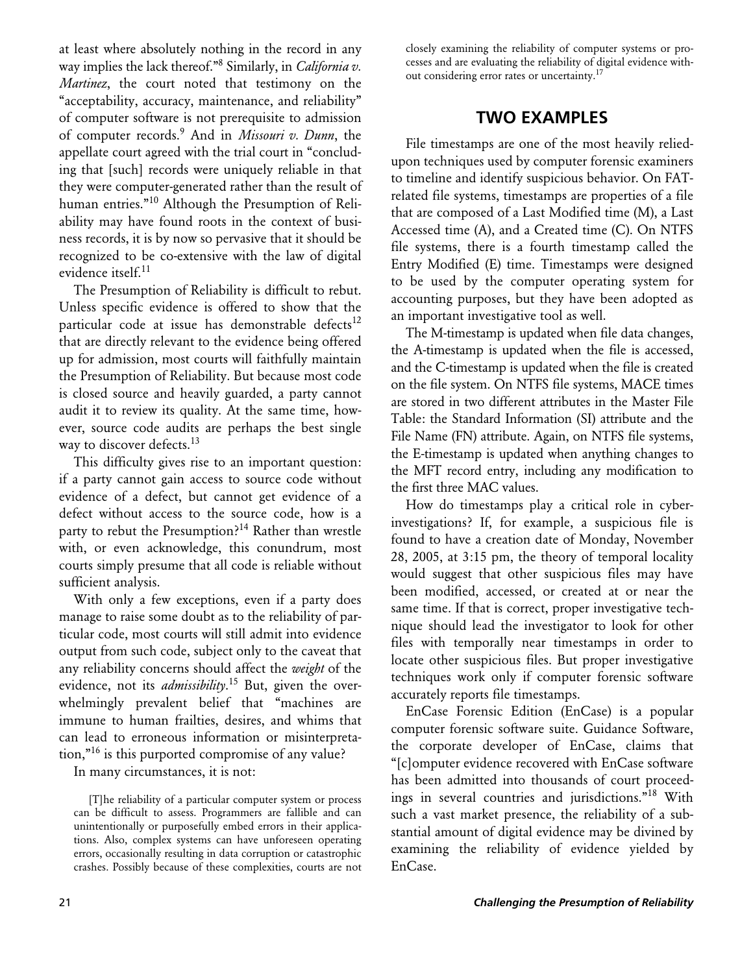at least where absolutely nothing in the record in any way implies the lack thereof."8 Similarly, in *California v. Martinez*, the court noted that testimony on the "acceptability, accuracy, maintenance, and reliability" of computer software is not prerequisite to admission of computer records.9 And in *Missouri v. Dunn*, the appellate court agreed with the trial court in "concluding that [such] records were uniquely reliable in that they were computer-generated rather than the result of human entries."10 Although the Presumption of Reliability may have found roots in the context of business records, it is by now so pervasive that it should be recognized to be co-extensive with the law of digital evidence itself.<sup>11</sup>

The Presumption of Reliability is difficult to rebut. Unless specific evidence is offered to show that the particular code at issue has demonstrable defects<sup>12</sup> that are directly relevant to the evidence being offered up for admission, most courts will faithfully maintain the Presumption of Reliability. But because most code is closed source and heavily guarded, a party cannot audit it to review its quality. At the same time, however, source code audits are perhaps the best single way to discover defects.<sup>13</sup>

This difficulty gives rise to an important question: if a party cannot gain access to source code without evidence of a defect, but cannot get evidence of a defect without access to the source code, how is a party to rebut the Presumption?<sup>14</sup> Rather than wrestle with, or even acknowledge, this conundrum, most courts simply presume that all code is reliable without sufficient analysis.

With only a few exceptions, even if a party does manage to raise some doubt as to the reliability of particular code, most courts will still admit into evidence output from such code, subject only to the caveat that any reliability concerns should affect the *weight* of the evidence, not its *admissibility*. 15 But, given the overwhelmingly prevalent belief that "machines are immune to human frailties, desires, and whims that can lead to erroneous information or misinterpretation,"16 is this purported compromise of any value?

In many circumstances, it is not:

[T]he reliability of a particular computer system or process can be difficult to assess. Programmers are fallible and can unintentionally or purposefully embed errors in their applications. Also, complex systems can have unforeseen operating errors, occasionally resulting in data corruption or catastrophic crashes. Possibly because of these complexities, courts are not closely examining the reliability of computer systems or processes and are evaluating the reliability of digital evidence without considering error rates or uncertainty.<sup>17</sup>

# **TWO EXAMPLES**

File timestamps are one of the most heavily reliedupon techniques used by computer forensic examiners to timeline and identify suspicious behavior. On FATrelated file systems, timestamps are properties of a file that are composed of a Last Modified time (M), a Last Accessed time (A), and a Created time (C). On NTFS file systems, there is a fourth timestamp called the Entry Modified (E) time. Timestamps were designed to be used by the computer operating system for accounting purposes, but they have been adopted as an important investigative tool as well.

The M-timestamp is updated when file data changes, the A-timestamp is updated when the file is accessed, and the C-timestamp is updated when the file is created on the file system. On NTFS file systems, MACE times are stored in two different attributes in the Master File Table: the Standard Information (SI) attribute and the File Name (FN) attribute. Again, on NTFS file systems, the E-timestamp is updated when anything changes to the MFT record entry, including any modification to the first three MAC values.

How do timestamps play a critical role in cyberinvestigations? If, for example, a suspicious file is found to have a creation date of Monday, November 28, 2005, at 3:15 pm, the theory of temporal locality would suggest that other suspicious files may have been modified, accessed, or created at or near the same time. If that is correct, proper investigative technique should lead the investigator to look for other files with temporally near timestamps in order to locate other suspicious files. But proper investigative techniques work only if computer forensic software accurately reports file timestamps.

EnCase Forensic Edition (EnCase) is a popular computer forensic software suite. Guidance Software, the corporate developer of EnCase, claims that "[c]omputer evidence recovered with EnCase software has been admitted into thousands of court proceedings in several countries and jurisdictions."18 With such a vast market presence, the reliability of a substantial amount of digital evidence may be divined by examining the reliability of evidence yielded by EnCase.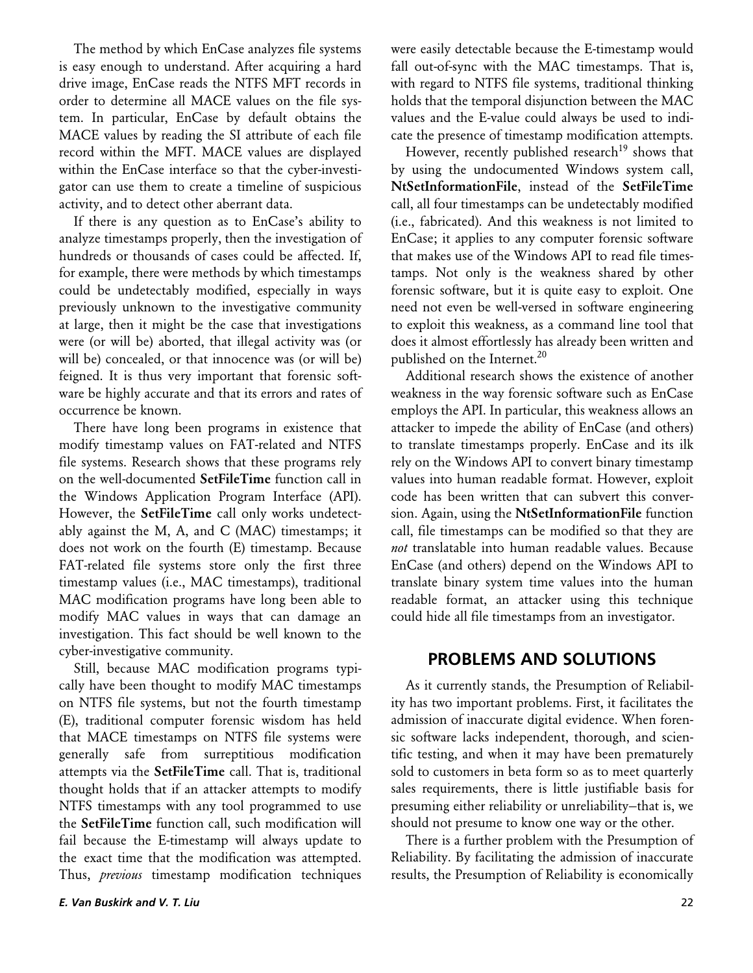The method by which EnCase analyzes file systems is easy enough to understand. After acquiring a hard drive image, EnCase reads the NTFS MFT records in order to determine all MACE values on the file system. In particular, EnCase by default obtains the MACE values by reading the SI attribute of each file record within the MFT. MACE values are displayed within the EnCase interface so that the cyber-investigator can use them to create a timeline of suspicious activity, and to detect other aberrant data.

If there is any question as to EnCase's ability to analyze timestamps properly, then the investigation of hundreds or thousands of cases could be affected. If, for example, there were methods by which timestamps could be undetectably modified, especially in ways previously unknown to the investigative community at large, then it might be the case that investigations were (or will be) aborted, that illegal activity was (or will be) concealed, or that innocence was (or will be) feigned. It is thus very important that forensic software be highly accurate and that its errors and rates of occurrence be known.

There have long been programs in existence that modify timestamp values on FAT-related and NTFS file systems. Research shows that these programs rely on the well-documented **SetFileTime** function call in the Windows Application Program Interface (API). However, the **SetFileTime** call only works undetectably against the M, A, and C (MAC) timestamps; it does not work on the fourth (E) timestamp. Because FAT-related file systems store only the first three timestamp values (i.e., MAC timestamps), traditional MAC modification programs have long been able to modify MAC values in ways that can damage an investigation. This fact should be well known to the cyber-investigative community.

Still, because MAC modification programs typically have been thought to modify MAC timestamps on NTFS file systems, but not the fourth timestamp (E), traditional computer forensic wisdom has held that MACE timestamps on NTFS file systems were generally safe from surreptitious modification attempts via the **SetFileTime** call. That is, traditional thought holds that if an attacker attempts to modify NTFS timestamps with any tool programmed to use the **SetFileTime** function call, such modification will fail because the E-timestamp will always update to the exact time that the modification was attempted. Thus, *previous* timestamp modification techniques were easily detectable because the E-timestamp would fall out-of-sync with the MAC timestamps. That is, with regard to NTFS file systems, traditional thinking holds that the temporal disjunction between the MAC values and the E-value could always be used to indicate the presence of timestamp modification attempts.

However, recently published research<sup>19</sup> shows that by using the undocumented Windows system call, **NtSetInformationFile**, instead of the **SetFileTime** call, all four timestamps can be undetectably modified (i.e., fabricated). And this weakness is not limited to EnCase; it applies to any computer forensic software that makes use of the Windows API to read file timestamps. Not only is the weakness shared by other forensic software, but it is quite easy to exploit. One need not even be well-versed in software engineering to exploit this weakness, as a command line tool that does it almost effortlessly has already been written and published on the Internet.<sup>20</sup>

Additional research shows the existence of another weakness in the way forensic software such as EnCase employs the API. In particular, this weakness allows an attacker to impede the ability of EnCase (and others) to translate timestamps properly. EnCase and its ilk rely on the Windows API to convert binary timestamp values into human readable format. However, exploit code has been written that can subvert this conversion. Again, using the **NtSetInformationFile** function call, file timestamps can be modified so that they are *not* translatable into human readable values. Because EnCase (and others) depend on the Windows API to translate binary system time values into the human readable format, an attacker using this technique could hide all file timestamps from an investigator.

#### **PROBLEMS AND SOLUTIONS**

As it currently stands, the Presumption of Reliability has two important problems. First, it facilitates the admission of inaccurate digital evidence. When forensic software lacks independent, thorough, and scientific testing, and when it may have been prematurely sold to customers in beta form so as to meet quarterly sales requirements, there is little justifiable basis for presuming either reliability or unreliability—that is, we should not presume to know one way or the other.

There is a further problem with the Presumption of Reliability. By facilitating the admission of inaccurate results, the Presumption of Reliability is economically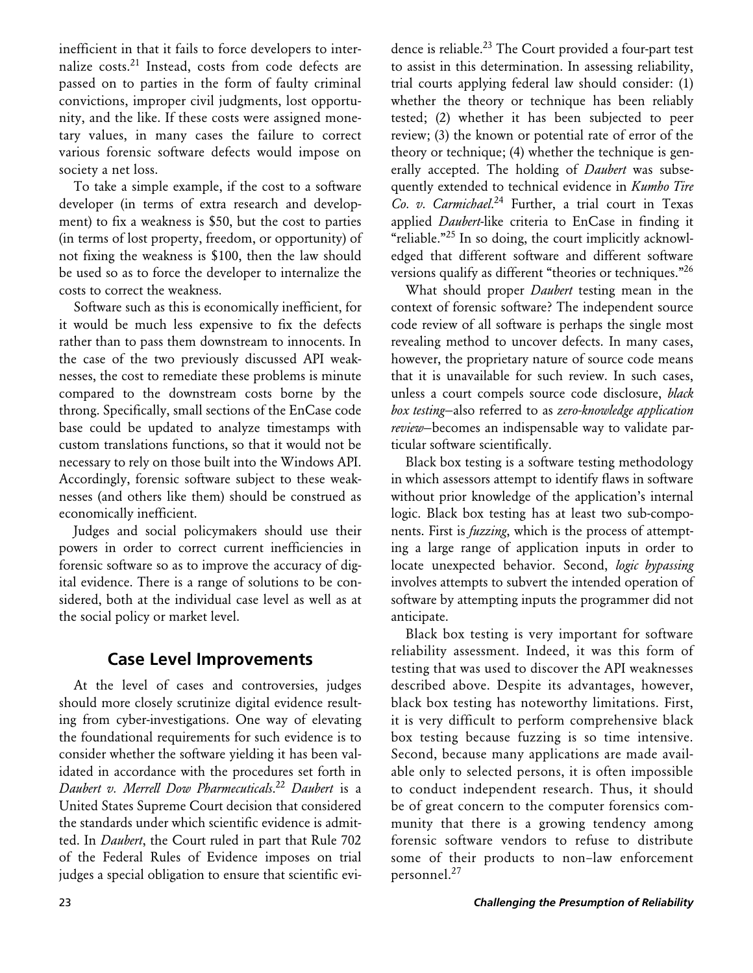inefficient in that it fails to force developers to internalize costs.21 Instead, costs from code defects are passed on to parties in the form of faulty criminal convictions, improper civil judgments, lost opportunity, and the like. If these costs were assigned monetary values, in many cases the failure to correct various forensic software defects would impose on society a net loss.

To take a simple example, if the cost to a software developer (in terms of extra research and development) to fix a weakness is \$50, but the cost to parties (in terms of lost property, freedom, or opportunity) of not fixing the weakness is \$100, then the law should be used so as to force the developer to internalize the costs to correct the weakness.

Software such as this is economically inefficient, for it would be much less expensive to fix the defects rather than to pass them downstream to innocents. In the case of the two previously discussed API weaknesses, the cost to remediate these problems is minute compared to the downstream costs borne by the throng. Specifically, small sections of the EnCase code base could be updated to analyze timestamps with custom translations functions, so that it would not be necessary to rely on those built into the Windows API. Accordingly, forensic software subject to these weaknesses (and others like them) should be construed as economically inefficient.

Judges and social policymakers should use their powers in order to correct current inefficiencies in forensic software so as to improve the accuracy of digital evidence. There is a range of solutions to be considered, both at the individual case level as well as at the social policy or market level.

## **Case Level Improvements**

At the level of cases and controversies, judges should more closely scrutinize digital evidence resulting from cyber-investigations. One way of elevating the foundational requirements for such evidence is to consider whether the software yielding it has been validated in accordance with the procedures set forth in *Daubert v. Merrell Dow Pharmecuticals*. <sup>22</sup> *Daubert* is a United States Supreme Court decision that considered the standards under which scientific evidence is admitted. In *Daubert*, the Court ruled in part that Rule 702 of the Federal Rules of Evidence imposes on trial judges a special obligation to ensure that scientific evi-

dence is reliable.<sup>23</sup> The Court provided a four-part test to assist in this determination. In assessing reliability, trial courts applying federal law should consider: (1) whether the theory or technique has been reliably tested; (2) whether it has been subjected to peer review; (3) the known or potential rate of error of the theory or technique; (4) whether the technique is generally accepted. The holding of *Daubert* was subsequently extended to technical evidence in *Kumho Tire Co. v. Carmichael*. 24 Further, a trial court in Texas applied *Daubert*-like criteria to EnCase in finding it "reliable."25 In so doing, the court implicitly acknowledged that different software and different software versions qualify as different "theories or techniques."26

What should proper *Daubert* testing mean in the context of forensic software? The independent source code review of all software is perhaps the single most revealing method to uncover defects. In many cases, however, the proprietary nature of source code means that it is unavailable for such review. In such cases, unless a court compels source code disclosure, *black box testing*—also referred to as *zero-knowledge application review*—becomes an indispensable way to validate particular software scientifically.

Black box testing is a software testing methodology in which assessors attempt to identify flaws in software without prior knowledge of the application's internal logic. Black box testing has at least two sub-components. First is *fuzzing*, which is the process of attempting a large range of application inputs in order to locate unexpected behavior. Second, *logic bypassing* involves attempts to subvert the intended operation of software by attempting inputs the programmer did not anticipate.

Black box testing is very important for software reliability assessment. Indeed, it was this form of testing that was used to discover the API weaknesses described above. Despite its advantages, however, black box testing has noteworthy limitations. First, it is very difficult to perform comprehensive black box testing because fuzzing is so time intensive. Second, because many applications are made available only to selected persons, it is often impossible to conduct independent research. Thus, it should be of great concern to the computer forensics community that there is a growing tendency among forensic software vendors to refuse to distribute some of their products to non–law enforcement personnel.<sup>27</sup>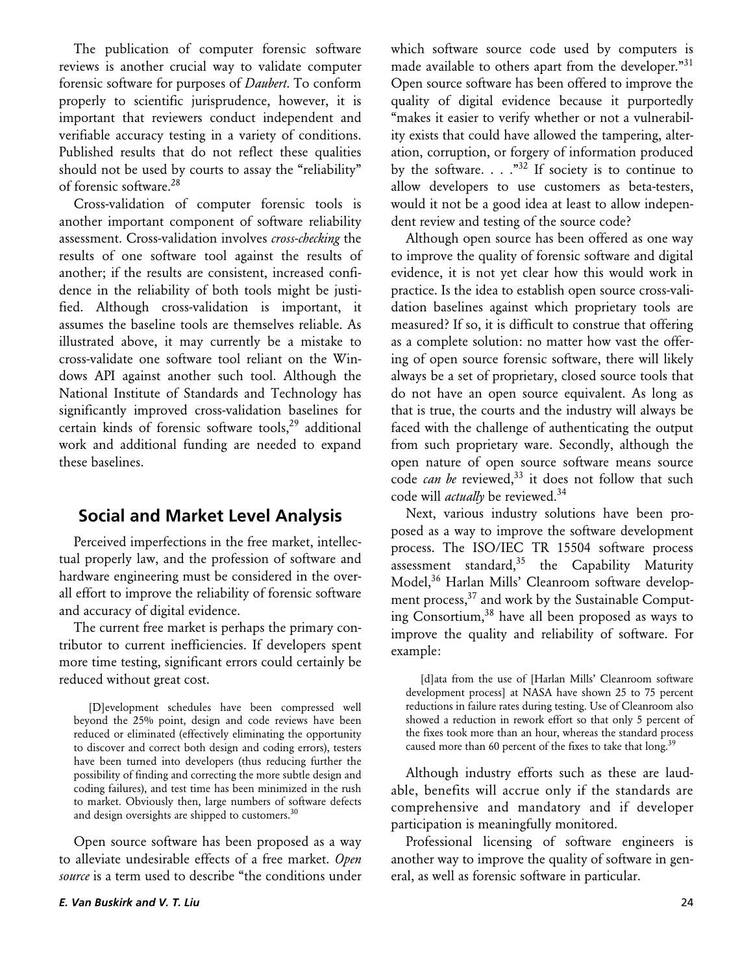The publication of computer forensic software reviews is another crucial way to validate computer forensic software for purposes of *Daubert*. To conform properly to scientific jurisprudence, however, it is important that reviewers conduct independent and verifiable accuracy testing in a variety of conditions. Published results that do not reflect these qualities should not be used by courts to assay the "reliability" of forensic software.28

Cross-validation of computer forensic tools is another important component of software reliability assessment. Cross-validation involves *cross-checking* the results of one software tool against the results of another; if the results are consistent, increased confidence in the reliability of both tools might be justified. Although cross-validation is important, it assumes the baseline tools are themselves reliable. As illustrated above, it may currently be a mistake to cross-validate one software tool reliant on the Windows API against another such tool. Although the National Institute of Standards and Technology has significantly improved cross-validation baselines for certain kinds of forensic software tools, $29$  additional work and additional funding are needed to expand these baselines.

## **Social and Market Level Analysis**

Perceived imperfections in the free market, intellectual properly law, and the profession of software and hardware engineering must be considered in the overall effort to improve the reliability of forensic software and accuracy of digital evidence.

The current free market is perhaps the primary contributor to current inefficiencies. If developers spent more time testing, significant errors could certainly be reduced without great cost.

[D]evelopment schedules have been compressed well beyond the 25% point, design and code reviews have been reduced or eliminated (effectively eliminating the opportunity to discover and correct both design and coding errors), testers have been turned into developers (thus reducing further the possibility of finding and correcting the more subtle design and coding failures), and test time has been minimized in the rush to market. Obviously then, large numbers of software defects and design oversights are shipped to customers.<sup>30</sup>

Open source software has been proposed as a way to alleviate undesirable effects of a free market. *Open source* is a term used to describe "the conditions under

*E. Van Buskirk and V. T. Liu* 24

which software source code used by computers is made available to others apart from the developer."<sup>31</sup> Open source software has been offered to improve the quality of digital evidence because it purportedly "makes it easier to verify whether or not a vulnerability exists that could have allowed the tampering, alteration, corruption, or forgery of information produced by the software.  $\cdot$  . . ...<sup>332</sup> If society is to continue to allow developers to use customers as beta-testers, would it not be a good idea at least to allow independent review and testing of the source code?

Although open source has been offered as one way to improve the quality of forensic software and digital evidence, it is not yet clear how this would work in practice. Is the idea to establish open source cross-validation baselines against which proprietary tools are measured? If so, it is difficult to construe that offering as a complete solution: no matter how vast the offering of open source forensic software, there will likely always be a set of proprietary, closed source tools that do not have an open source equivalent. As long as that is true, the courts and the industry will always be faced with the challenge of authenticating the output from such proprietary ware. Secondly, although the open nature of open source software means source code *can be* reviewed,<sup>33</sup> it does not follow that such code will *actually* be reviewed.<sup>34</sup>

Next, various industry solutions have been proposed as a way to improve the software development process. The ISO/IEC TR 15504 software process assessment standard, $35$  the Capability Maturity Model,<sup>36</sup> Harlan Mills' Cleanroom software development process,<sup>37</sup> and work by the Sustainable Computing Consortium,38 have all been proposed as ways to improve the quality and reliability of software. For example:

[d]ata from the use of [Harlan Mills' Cleanroom software development process] at NASA have shown 25 to 75 percent reductions in failure rates during testing. Use of Cleanroom also showed a reduction in rework effort so that only 5 percent of the fixes took more than an hour, whereas the standard process caused more than 60 percent of the fixes to take that long.<sup>39</sup>

Although industry efforts such as these are laudable, benefits will accrue only if the standards are comprehensive and mandatory and if developer participation is meaningfully monitored.

Professional licensing of software engineers is another way to improve the quality of software in general, as well as forensic software in particular.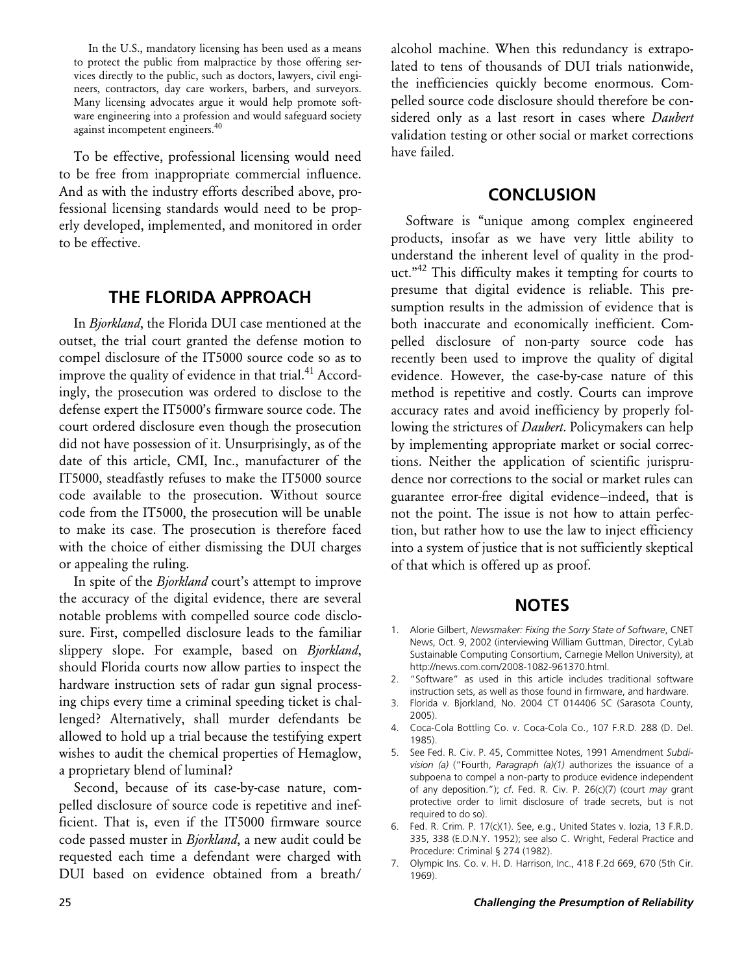In the U.S., mandatory licensing has been used as a means to protect the public from malpractice by those offering services directly to the public, such as doctors, lawyers, civil engineers, contractors, day care workers, barbers, and surveyors. Many licensing advocates argue it would help promote software engineering into a profession and would safeguard society against incompetent engineers.<sup>40</sup>

To be effective, professional licensing would need to be free from inappropriate commercial influence. And as with the industry efforts described above, professional licensing standards would need to be properly developed, implemented, and monitored in order to be effective.

## **THE FLORIDA APPROACH**

In *Bjorkland*, the Florida DUI case mentioned at the outset, the trial court granted the defense motion to compel disclosure of the IT5000 source code so as to improve the quality of evidence in that trial.<sup>41</sup> Accordingly, the prosecution was ordered to disclose to the defense expert the IT5000's firmware source code. The court ordered disclosure even though the prosecution did not have possession of it. Unsurprisingly, as of the date of this article, CMI, Inc., manufacturer of the IT5000, steadfastly refuses to make the IT5000 source code available to the prosecution. Without source code from the IT5000, the prosecution will be unable to make its case. The prosecution is therefore faced with the choice of either dismissing the DUI charges or appealing the ruling.

In spite of the *Bjorkland* court's attempt to improve the accuracy of the digital evidence, there are several notable problems with compelled source code disclosure. First, compelled disclosure leads to the familiar slippery slope. For example, based on *Bjorkland*, should Florida courts now allow parties to inspect the hardware instruction sets of radar gun signal processing chips every time a criminal speeding ticket is challenged? Alternatively, shall murder defendants be allowed to hold up a trial because the testifying expert wishes to audit the chemical properties of Hemaglow, a proprietary blend of luminal?

Second, because of its case-by-case nature, compelled disclosure of source code is repetitive and inefficient. That is, even if the IT5000 firmware source code passed muster in *Bjorkland*, a new audit could be requested each time a defendant were charged with DUI based on evidence obtained from a breath/

alcohol machine. When this redundancy is extrapolated to tens of thousands of DUI trials nationwide, the inefficiencies quickly become enormous. Compelled source code disclosure should therefore be considered only as a last resort in cases where *Daubert* validation testing or other social or market corrections have failed.

### **CONCLUSION**

Software is "unique among complex engineered products, insofar as we have very little ability to understand the inherent level of quality in the product."<sup>42</sup> This difficulty makes it tempting for courts to presume that digital evidence is reliable. This presumption results in the admission of evidence that is both inaccurate and economically inefficient. Compelled disclosure of non-party source code has recently been used to improve the quality of digital evidence. However, the case-by-case nature of this method is repetitive and costly. Courts can improve accuracy rates and avoid inefficiency by properly following the strictures of *Daubert*. Policymakers can help by implementing appropriate market or social corrections. Neither the application of scientific jurisprudence nor corrections to the social or market rules can guarantee error-free digital evidence—indeed, that is not the point. The issue is not how to attain perfection, but rather how to use the law to inject efficiency into a system of justice that is not sufficiently skeptical of that which is offered up as proof.

## **NOTES**

- 1. Alorie Gilbert, *Newsmaker: Fixing the Sorry State of Software*, CNET News, Oct. 9, 2002 (interviewing William Guttman, Director, CyLab Sustainable Computing Consortium, Carnegie Mellon University), at http://news.com.com/2008-1082-961370.html.
- 2. "Software" as used in this article includes traditional software instruction sets, as well as those found in firmware, and hardware.
- 3. Florida v. Bjorkland, No. 2004 CT 014406 SC (Sarasota County, 2005).
- 4. Coca-Cola Bottling Co. v. Coca-Cola Co., 107 F.R.D. 288 (D. Del. 1985).
- 5. See Fed. R. Civ. P. 45, Committee Notes, 1991 Amendment *Subdivision (a)* ("Fourth, *Paragraph (a)(1)* authorizes the issuance of a subpoena to compel a non-party to produce evidence independent of any deposition."); *cf*. Fed. R. Civ. P. 26(c)(7) (court *may* grant protective order to limit disclosure of trade secrets, but is not required to do so).
- 6. Fed. R. Crim. P. 17(c)(1). See, e.g., United States v. Iozia, 13 F.R.D. 335, 338 (E.D.N.Y. 1952); see also C. Wright, Federal Practice and Procedure: Criminal § 274 (1982).
- 7. Olympic Ins. Co. v. H. D. Harrison, Inc., 418 F.2d 669, 670 (5th Cir. 1969).